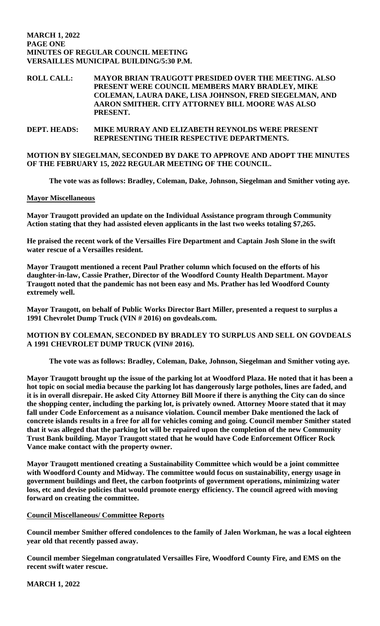#### **MARCH 1, 2022 PAGE ONE MINUTES OF REGULAR COUNCIL MEETING VERSAILLES MUNICIPAL BUILDING/5:30 P.M.**

#### **ROLL CALL: MAYOR BRIAN TRAUGOTT PRESIDED OVER THE MEETING. ALSO PRESENT WERE COUNCIL MEMBERS MARY BRADLEY, MIKE COLEMAN, LAURA DAKE, LISA JOHNSON, FRED SIEGELMAN, AND AARON SMITHER. CITY ATTORNEY BILL MOORE WAS ALSO PRESENT.**

#### **DEPT. HEADS: MIKE MURRAY AND ELIZABETH REYNOLDS WERE PRESENT REPRESENTING THEIR RESPECTIVE DEPARTMENTS.**

# **MOTION BY SIEGELMAN, SECONDED BY DAKE TO APPROVE AND ADOPT THE MINUTES OF THE FEBRUARY 15, 2022 REGULAR MEETING OF THE COUNCIL.**

**The vote was as follows: Bradley, Coleman, Dake, Johnson, Siegelman and Smither voting aye.**

# **Mayor Miscellaneous**

**Mayor Traugott provided an update on the Individual Assistance program through Community Action stating that they had assisted eleven applicants in the last two weeks totaling \$7,265.** 

**He praised the recent work of the Versailles Fire Department and Captain Josh Slone in the swift water rescue of a Versailles resident.** 

**Mayor Traugott mentioned a recent Paul Prather column which focused on the efforts of his daughter-in-law, Cassie Prather, Director of the Woodford County Health Department. Mayor Traugott noted that the pandemic has not been easy and Ms. Prather has led Woodford County extremely well.** 

**Mayor Traugott, on behalf of Public Works Director Bart Miller, presented a request to surplus a 1991 Chevrolet Dump Truck (VIN # 2016) on govdeals.com.** 

# **MOTION BY COLEMAN, SECONDED BY BRADLEY TO SURPLUS AND SELL ON GOVDEALS A 1991 CHEVROLET DUMP TRUCK (VIN# 2016).**

**The vote was as follows: Bradley, Coleman, Dake, Johnson, Siegelman and Smither voting aye.** 

**Mayor Traugott brought up the issue of the parking lot at Woodford Plaza. He noted that it has been a hot topic on social media because the parking lot has dangerously large potholes, lines are faded, and it is in overall disrepair. He asked City Attorney Bill Moore if there is anything the City can do since the shopping center, including the parking lot, is privately owned. Attorney Moore stated that it may fall under Code Enforcement as a nuisance violation. Council member Dake mentioned the lack of concrete islands results in a free for all for vehicles coming and going. Council member Smither stated that it was alleged that the parking lot will be repaired upon the completion of the new Community Trust Bank building. Mayor Traugott stated that he would have Code Enforcement Officer Rock Vance make contact with the property owner.** 

**Mayor Traugott mentioned creating a Sustainability Committee which would be a joint committee with Woodford County and Midway. The committee would focus on sustainability, energy usage in government buildings and fleet, the carbon footprints of government operations, minimizing water loss, etc and devise policies that would promote energy efficiency. The council agreed with moving forward on creating the committee.**

# **Council Miscellaneous/ Committee Reports**

**Council member Smither offered condolences to the family of Jalen Workman, he was a local eighteen year old that recently passed away.** 

**Council member Siegelman congratulated Versailles Fire, Woodford County Fire, and EMS on the recent swift water rescue.** 

**MARCH 1, 2022**